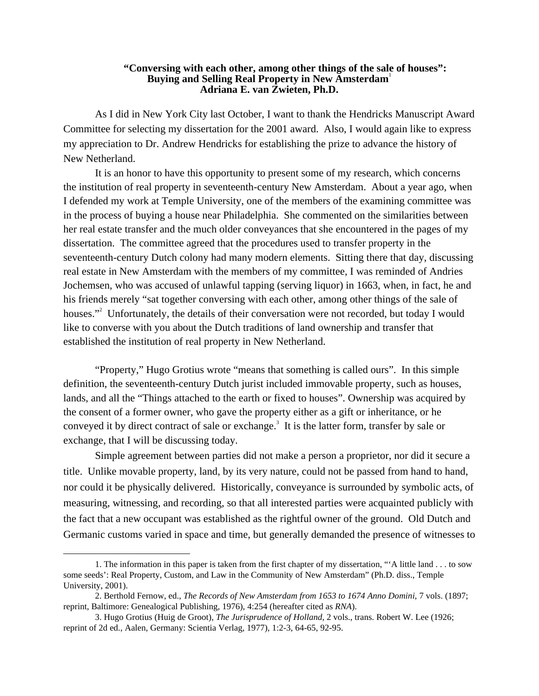## **"Conversing with each other, among other things of the sale of houses": Buying and Selling Real Property in New Amsterdam**[1](#page-0-0) **Adriana E. van Zwieten, Ph.D.**

As I did in New York City last October, I want to thank the Hendricks Manuscript Award Committee for selecting my dissertation for the 2001 award. Also, I would again like to express my appreciation to Dr. Andrew Hendricks for establishing the prize to advance the history of New Netherland.

It is an honor to have this opportunity to present some of my research, which concerns the institution of real property in seventeenth-century New Amsterdam. About a year ago, when I defended my work at Temple University, one of the members of the examining committee was in the process of buying a house near Philadelphia. She commented on the similarities between her real estate transfer and the much older conveyances that she encountered in the pages of my dissertation. The committee agreed that the procedures used to transfer property in the seventeenth-century Dutch colony had many modern elements. Sitting there that day, discussing real estate in New Amsterdam with the members of my committee, I was reminded of Andries Jochemsen, who was accused of unlawful tapping (serving liquor) in 1663, when, in fact, he and his friends merely "sat together conversing with each other, among other things of the sale of houses."<sup>[2](#page-0-1)</sup> Unfortunately, the details of their conversation were not recorded, but today I would like to converse with you about the Dutch traditions of land ownership and transfer that established the institution of real property in New Netherland.

"Property," Hugo Grotius wrote "means that something is called ours". In this simple definition, the seventeenth-century Dutch jurist included immovable property, such as houses, lands, and all the "Things attached to the earth or fixed to houses". Ownership was acquired by the consent of a former owner, who gave the property either as a gift or inheritance, or he conveyed it by direct contract of sale or exchange.<sup>[3](#page-0-2)</sup> It is the latter form, transfer by sale or exchange, that I will be discussing today.

 Simple agreement between parties did not make a person a proprietor, nor did it secure a title. Unlike movable property, land, by its very nature, could not be passed from hand to hand, nor could it be physically delivered. Historically, conveyance is surrounded by symbolic acts, of measuring, witnessing, and recording, so that all interested parties were acquainted publicly with the fact that a new occupant was established as the rightful owner of the ground. Old Dutch and Germanic customs varied in space and time, but generally demanded the presence of witnesses to

<span id="page-0-0"></span> $\overline{a}$ 

<sup>1.</sup> The information in this paper is taken from the first chapter of my dissertation, "'A little land . . . to sow some seeds': Real Property, Custom, and Law in the Community of New Amsterdam" (Ph.D. diss., Temple University, 2001).

<span id="page-0-1"></span><sup>2.</sup> Berthold Fernow, ed., *The Records of New Amsterdam from 1653 to 1674 Anno Domini*, 7 vols. (1897; reprint, Baltimore: Genealogical Publishing, 1976), 4:254 (hereafter cited as *RNA*).

<span id="page-0-2"></span><sup>3.</sup> Hugo Grotius (Huig de Groot), *The Jurisprudence of Holland*, 2 vols., trans. Robert W. Lee (1926; reprint of 2d ed., Aalen, Germany: Scientia Verlag, 1977), 1:2-3, 64-65, 92-95.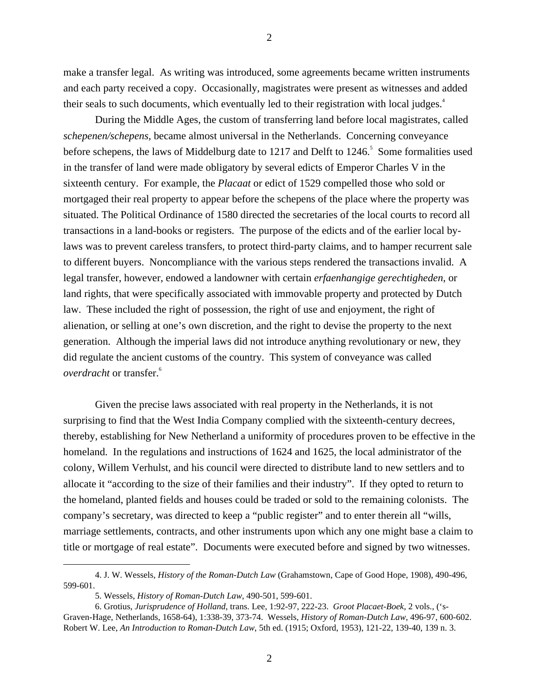make a transfer legal. As writing was introduced, some agreements became written instruments and each party received a copy. Occasionally, magistrates were present as witnesses and added their seals to such documents, which eventually led to their registration with local judges.<sup>[4](#page-1-0)</sup>

 During the Middle Ages, the custom of transferring land before local magistrates, called *schepenen/schepens*, became almost universal in the Netherlands. Concerning conveyance before schepens, the laws of Middelburg date to 1217 and Delft to 1246.<sup>[5](#page-1-1)</sup> Some formalities used in the transfer of land were made obligatory by several edicts of Emperor Charles V in the sixteenth century. For example, the *Placaat* or edict of 1529 compelled those who sold or mortgaged their real property to appear before the schepens of the place where the property was situated. The Political Ordinance of 1580 directed the secretaries of the local courts to record all transactions in a land-books or registers. The purpose of the edicts and of the earlier local bylaws was to prevent careless transfers, to protect third-party claims, and to hamper recurrent sale to different buyers. Noncompliance with the various steps rendered the transactions invalid. A legal transfer, however, endowed a landowner with certain *erfaenhangige gerechtigheden*, or land rights, that were specifically associated with immovable property and protected by Dutch law. These included the right of possession, the right of use and enjoyment, the right of alienation, or selling at one's own discretion, and the right to devise the property to the next generation. Although the imperial laws did not introduce anything revolutionary or new, they did regulate the ancient customs of the country. This system of conveyance was called *overdracht* or transfer.[6](#page-1-2)

Given the precise laws associated with real property in the Netherlands, it is not surprising to find that the West India Company complied with the sixteenth-century decrees, thereby, establishing for New Netherland a uniformity of procedures proven to be effective in the homeland. In the regulations and instructions of 1624 and 1625, the local administrator of the colony, Willem Verhulst, and his council were directed to distribute land to new settlers and to allocate it "according to the size of their families and their industry". If they opted to return to the homeland, planted fields and houses could be traded or sold to the remaining colonists. The company's secretary, was directed to keep a "public register" and to enter therein all "wills, marriage settlements, contracts, and other instruments upon which any one might base a claim to title or mortgage of real estate". Documents were executed before and signed by two witnesses.

 $\overline{a}$ 

<sup>4.</sup> J. W. Wessels, *History of the Roman-Dutch Law* (Grahamstown, Cape of Good Hope, 1908), 490-496, 599-601.

<span id="page-1-2"></span><span id="page-1-1"></span><span id="page-1-0"></span><sup>5.</sup> Wessels, *History of Roman-Dutch Law*, 490-501, 599-601.

<sup>6.</sup> Grotius, *Jurisprudence of Holland*, trans. Lee, 1:92-97, 222-23. *Groot Placaet-Boek*, 2 vols., ('s-Graven-Hage, Netherlands, 1658-64), 1:338-39, 373-74. Wessels, *History of Roman-Dutch Law*, 496-97, 600-602. Robert W. Lee, *An Introduction to Roman-Dutch Law*, 5th ed. (1915; Oxford, 1953), 121-22, 139-40, 139 n. 3.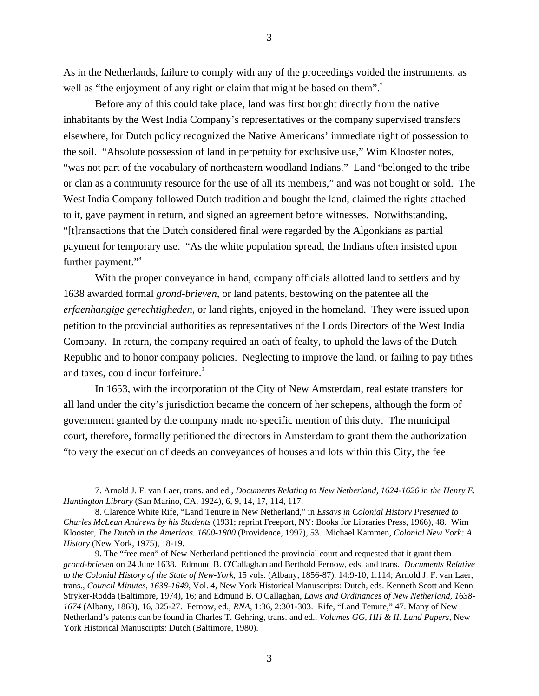As in the Netherlands, failure to comply with any of the proceedings voided the instruments, as well as "the enjoyment of any right or claim that might be based on them".<sup>[7](#page-2-0)</sup>

Before any of this could take place, land was first bought directly from the native inhabitants by the West India Company's representatives or the company supervised transfers elsewhere, for Dutch policy recognized the Native Americans' immediate right of possession to the soil. "Absolute possession of land in perpetuity for exclusive use," Wim Klooster notes, "was not part of the vocabulary of northeastern woodland Indians." Land "belonged to the tribe or clan as a community resource for the use of all its members," and was not bought or sold. The West India Company followed Dutch tradition and bought the land, claimed the rights attached to it, gave payment in return, and signed an agreement before witnesses. Notwithstanding, "[t]ransactions that the Dutch considered final were regarded by the Algonkians as partial payment for temporary use. "As the white population spread, the Indians often insisted upon further payment."<sup>[8](#page-2-1)</sup>

With the proper conveyance in hand, company officials allotted land to settlers and by 1638 awarded formal *grond-brieven*, or land patents, bestowing on the patentee all the *erfaenhangige gerechtigheden*, or land rights, enjoyed in the homeland. They were issued upon petition to the provincial authorities as representatives of the Lords Directors of the West India Company. In return, the company required an oath of fealty, to uphold the laws of the Dutch Republic and to honor company policies. Neglecting to improve the land, or failing to pay tithes and taxes, could incur forfeiture.<sup>[9](#page-2-2)</sup>

In 1653, with the incorporation of the City of New Amsterdam, real estate transfers for all land under the city's jurisdiction became the concern of her schepens, although the form of government granted by the company made no specific mention of this duty. The municipal court, therefore, formally petitioned the directors in Amsterdam to grant them the authorization "to very the execution of deeds an conveyances of houses and lots within this City, the fee

<span id="page-2-0"></span> $\overline{a}$ 

<sup>7.</sup> Arnold J. F. van Laer, trans. and ed., *Documents Relating to New Netherland, 1624-1626 in the Henry E. Huntington Library* (San Marino, CA, 1924), 6, 9, 14, 17, 114, 117.

<span id="page-2-1"></span><sup>8.</sup> Clarence White Rife, "Land Tenure in New Netherland," in *Essays in Colonial History Presented to Charles McLean Andrews by his Students* (1931; reprint Freeport, NY: Books for Libraries Press, 1966), 48. Wim Klooster, *The Dutch in the Americas. 1600-1800* (Providence, 1997), 53. Michael Kammen, *Colonial New York: A History* (New York, 1975), 18-19.

<span id="page-2-2"></span><sup>9.</sup> The "free men" of New Netherland petitioned the provincial court and requested that it grant them *grond-brieven* on 24 June 1638. Edmund B. O'Callaghan and Berthold Fernow, eds. and trans. *Documents Relative to the Colonial History of the State of New-York*, 15 vols. (Albany, 1856-87), 14:9-10, 1:114; Arnold J. F. van Laer, trans., *Council Minutes, 1638-1649*, Vol. 4, New York Historical Manuscripts: Dutch*,* eds. Kenneth Scott and Kenn Stryker-Rodda (Baltimore, 1974), 16; and Edmund B. O'Callaghan, *Laws and Ordinances of New Netherland, 1638- 1674* (Albany, 1868), 16, 325-27. Fernow, ed., *RNA*, 1:36, 2:301-303. Rife, "Land Tenure," 47. Many of New Netherland's patents can be found in Charles T. Gehring, trans. and ed., *Volumes GG, HH & II. Land Papers*, New York Historical Manuscripts: Dutch (Baltimore, 1980).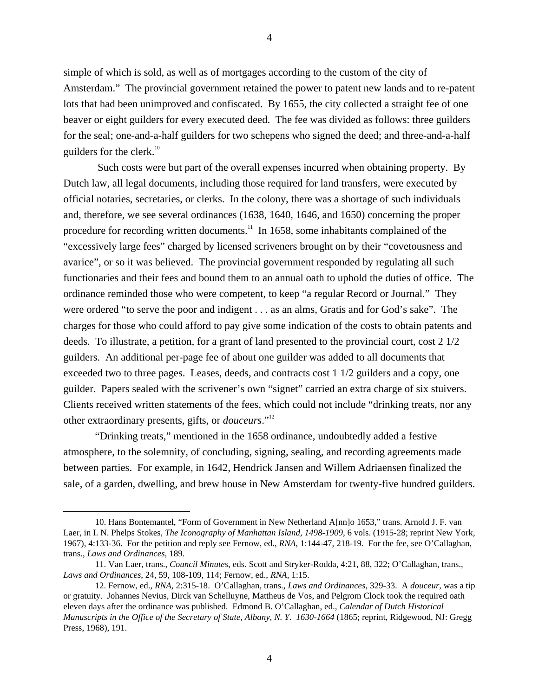simple of which is sold, as well as of mortgages according to the custom of the city of Amsterdam." The provincial government retained the power to patent new lands and to re-patent lots that had been unimproved and confiscated. By 1655, the city collected a straight fee of one beaver or eight guilders for every executed deed. The fee was divided as follows: three guilders for the seal; one-and-a-half guilders for two schepens who signed the deed; and three-and-a-half guilders for the clerk. $10$ 

 Such costs were but part of the overall expenses incurred when obtaining property. By Dutch law, all legal documents, including those required for land transfers, were executed by official notaries, secretaries, or clerks. In the colony, there was a shortage of such individuals and, therefore, we see several ordinances (1638, 1640, 1646, and 1650) concerning the proper procedure for recording written documents.<sup>11</sup> In 1658, some inhabitants complained of the "excessively large fees" charged by licensed scriveners brought on by their "covetousness and avarice", or so it was believed. The provincial government responded by regulating all such functionaries and their fees and bound them to an annual oath to uphold the duties of office. The ordinance reminded those who were competent, to keep "a regular Record or Journal." They were ordered "to serve the poor and indigent . . . as an alms, Gratis and for God's sake". The charges for those who could afford to pay give some indication of the costs to obtain patents and deeds. To illustrate, a petition, for a grant of land presented to the provincial court, cost 2 1/2 guilders. An additional per-page fee of about one guilder was added to all documents that exceeded two to three pages. Leases, deeds, and contracts cost 1 1/2 guilders and a copy, one guilder. Papers sealed with the scrivener's own "signet" carried an extra charge of six stuivers. Clients received written statements of the fees, which could not include "drinking treats, nor any other extraordinary presents, gifts, or *douceurs*."[12](#page-3-2)

"Drinking treats," mentioned in the 1658 ordinance, undoubtedly added a festive atmosphere, to the solemnity, of concluding, signing, sealing, and recording agreements made between parties. For example, in 1642, Hendrick Jansen and Willem Adriaensen finalized the sale, of a garden, dwelling, and brew house in New Amsterdam for twenty-five hundred guilders.

<span id="page-3-0"></span> $\overline{a}$ 

<sup>10.</sup> Hans Bontemantel, "Form of Government in New Netherland A[nn]o 1653," trans. Arnold J. F. van Laer, in I. N. Phelps Stokes, *The Iconography of Manhattan Island, 1498-1909*, 6 vols. (1915-28; reprint New York, 1967), 4:133-36. For the petition and reply see Fernow, ed., *RNA*, 1:144-47, 218-19. For the fee, see O'Callaghan, trans., *Laws and Ordinances*, 189.

<span id="page-3-1"></span><sup>11.</sup> Van Laer, trans., *Council Minutes*, eds. Scott and Stryker-Rodda, 4:21, 88, 322; O'Callaghan, trans., *Laws and Ordinances*, 24, 59, 108-109, 114; Fernow, ed., *RNA*, 1:15.

<span id="page-3-2"></span><sup>12.</sup> Fernow, ed., *RNA*, 2:315-18. O'Callaghan, trans., *Laws and Ordinances*, 329-33. A *douceur*, was a tip or gratuity. Johannes Nevius, Dirck van Schelluyne, Mattheus de Vos, and Pelgrom Clock took the required oath eleven days after the ordinance was published. Edmond B. O'Callaghan, ed., *Calendar of Dutch Historical Manuscripts in the Office of the Secretary of State, Albany, N. Y. 1630-1664* (1865; reprint, Ridgewood, NJ: Gregg Press, 1968), 191.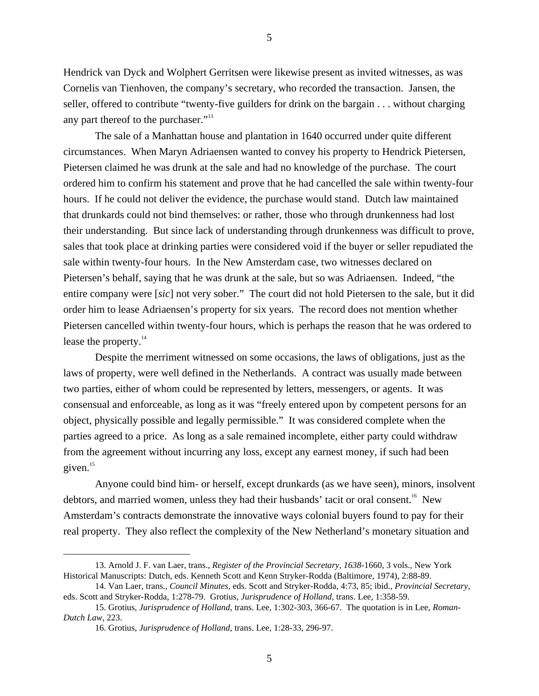Hendrick van Dyck and Wolphert Gerritsen were likewise present as invited witnesses, as was Cornelis van Tienhoven, the company's secretary, who recorded the transaction. Jansen, the seller, offered to contribute "twenty-five guilders for drink on the bargain . . . without charging any part thereof to the purchaser."<sup>[13](#page-4-0)</sup>

The sale of a Manhattan house and plantation in 1640 occurred under quite different circumstances. When Maryn Adriaensen wanted to convey his property to Hendrick Pietersen, Pietersen claimed he was drunk at the sale and had no knowledge of the purchase. The court ordered him to confirm his statement and prove that he had cancelled the sale within twenty-four hours. If he could not deliver the evidence, the purchase would stand. Dutch law maintained that drunkards could not bind themselves: or rather, those who through drunkenness had lost their understanding. But since lack of understanding through drunkenness was difficult to prove, sales that took place at drinking parties were considered void if the buyer or seller repudiated the sale within twenty-four hours. In the New Amsterdam case, two witnesses declared on Pietersen's behalf, saying that he was drunk at the sale, but so was Adriaensen. Indeed, "the entire company were [*sic*] not very sober." The court did not hold Pietersen to the sale, but it did order him to lease Adriaensen's property for six years. The record does not mention whether Pietersen cancelled within twenty-four hours, which is perhaps the reason that he was ordered to lease the property. $14$ 

Despite the merriment witnessed on some occasions, the laws of obligations, just as the laws of property, were well defined in the Netherlands. A contract was usually made between two parties, either of whom could be represented by letters, messengers, or agents. It was consensual and enforceable, as long as it was "freely entered upon by competent persons for an object, physically possible and legally permissible." It was considered complete when the parties agreed to a price. As long as a sale remained incomplete, either party could withdraw from the agreement without incurring any loss, except any earnest money, if such had been given. $15$ 

Anyone could bind him- or herself, except drunkards (as we have seen), minors, insolvent debtors, and married women, unless they had their husbands' tacit or oral consent.<sup>16</sup> New Amsterdam's contracts demonstrate the innovative ways colonial buyers found to pay for their real property. They also reflect the complexity of the New Netherland's monetary situation and

<span id="page-4-0"></span> $\overline{a}$ 

<sup>13.</sup> Arnold J. F. van Laer, trans., *Register of the Provincial Secretary, 1638-*1660, 3 vols., New York Historical Manuscripts: Dutch, eds. Kenneth Scott and Kenn Stryker-Rodda (Baltimore, 1974), 2:88-89.

<span id="page-4-1"></span><sup>14.</sup> Van Laer, trans., *Council Minutes*, eds. Scott and Stryker-Rodda, 4:73, 85; ibid., *Provincial Secretary*, eds. Scott and Stryker-Rodda, 1:278-79. Grotius, *Jurisprudence of Holland*, trans. Lee, 1:358-59.

<sup>15.</sup> Grotius, *Jurisprudence of Holland*, trans. Lee, 1:302-303, 366-67. The quotation is in Lee, *Roman-Dutch Law*, 223.

<span id="page-4-3"></span><span id="page-4-2"></span><sup>16.</sup> Grotius, *Jurisprudence of Holland*, trans. Lee, 1:28-33, 296-97.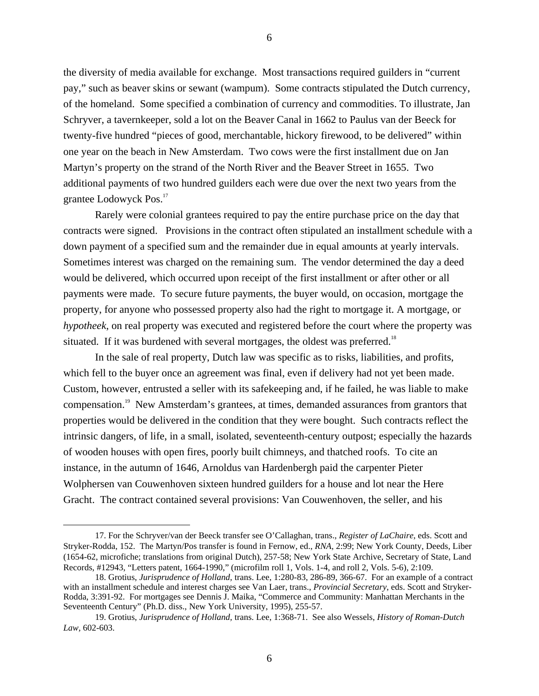the diversity of media available for exchange. Most transactions required guilders in "current pay," such as beaver skins or sewant (wampum). Some contracts stipulated the Dutch currency, of the homeland. Some specified a combination of currency and commodities. To illustrate, Jan Schryver, a tavernkeeper, sold a lot on the Beaver Canal in 1662 to Paulus van der Beeck for twenty-five hundred "pieces of good, merchantable, hickory firewood, to be delivered" within one year on the beach in New Amsterdam. Two cows were the first installment due on Jan Martyn's property on the strand of the North River and the Beaver Street in 1655. Two additional payments of two hundred guilders each were due over the next two years from the grantee Lodowyck Pos[.17](#page-5-0)

Rarely were colonial grantees required to pay the entire purchase price on the day that contracts were signed. Provisions in the contract often stipulated an installment schedule with a down payment of a specified sum and the remainder due in equal amounts at yearly intervals. Sometimes interest was charged on the remaining sum. The vendor determined the day a deed would be delivered, which occurred upon receipt of the first installment or after other or all payments were made. To secure future payments, the buyer would, on occasion, mortgage the property, for anyone who possessed property also had the right to mortgage it. A mortgage, or *hypotheek*, on real property was executed and registered before the court where the property was situated. If it was burdened with several mortgages, the oldest was preferred.<sup>[18](#page-5-1)</sup>

In the sale of real property, Dutch law was specific as to risks, liabilities, and profits, which fell to the buyer once an agreement was final, even if delivery had not yet been made. Custom, however, entrusted a seller with its safekeeping and, if he failed, he was liable to make compensation.<sup>19</sup> New Amsterdam's grantees, at times, demanded assurances from grantors that properties would be delivered in the condition that they were bought. Such contracts reflect the intrinsic dangers, of life, in a small, isolated, seventeenth-century outpost; especially the hazards of wooden houses with open fires, poorly built chimneys, and thatched roofs. To cite an instance, in the autumn of 1646, Arnoldus van Hardenbergh paid the carpenter Pieter Wolphersen van Couwenhoven sixteen hundred guilders for a house and lot near the Here Gracht. The contract contained several provisions: Van Couwenhoven, the seller, and his

<span id="page-5-0"></span> $\overline{a}$ 

<sup>17.</sup> For the Schryver/van der Beeck transfer see O'Callaghan, trans., *Register of LaChaire*, eds. Scott and Stryker-Rodda, 152. The Martyn/Pos transfer is found in Fernow, ed., *RNA*, 2:99; New York County, Deeds, Liber (1654-62, microfiche; translations from original Dutch), 257-58; New York State Archive, Secretary of State, Land Records, #12943, "Letters patent, 1664-1990," (microfilm roll 1, Vols. 1-4, and roll 2, Vols. 5-6), 2:109.

<span id="page-5-1"></span><sup>18.</sup> Grotius, *Jurisprudence of Holland,* trans. Lee, 1:280-83, 286-89, 366-67. For an example of a contract with an installment schedule and interest charges see Van Laer, trans., *Provincial Secretary*, eds. Scott and Stryker-Rodda, 3:391-92. For mortgages see Dennis J. Maika, "Commerce and Community: Manhattan Merchants in the Seventeenth Century" (Ph.D. diss., New York University, 1995), 255-57.

<span id="page-5-2"></span><sup>19.</sup> Grotius, *Jurisprudence of Holland,* trans. Lee, 1:368-71. See also Wessels, *History of Roman-Dutch Law,* 602-603.